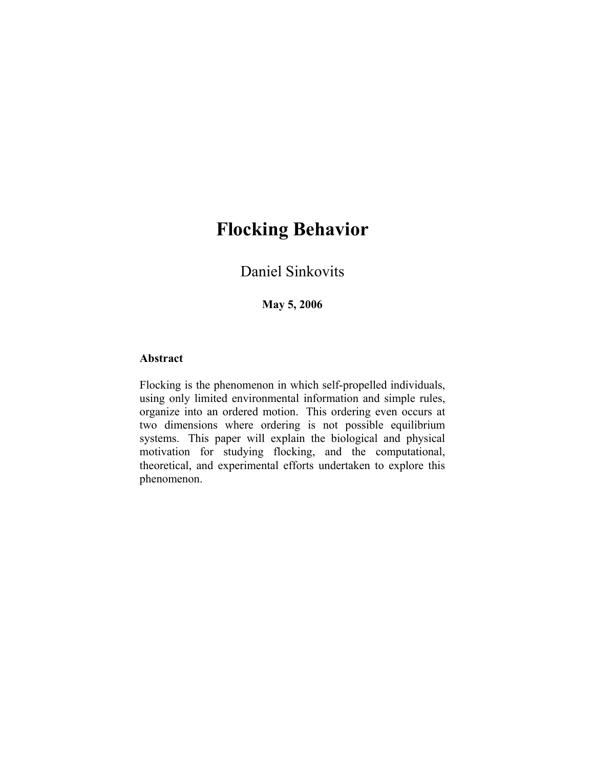# **Flocking Behavior**

Daniel Sinkovits

**May 5, 2006** 

# **Abstract**

Flocking is the phenomenon in which self-propelled individuals, using only limited environmental information and simple rules, organize into an ordered motion. This ordering even occurs at two dimensions where ordering is not possible equilibrium systems. This paper will explain the biological and physical motivation for studying flocking, and the computational, theoretical, and experimental efforts undertaken to explore this phenomenon.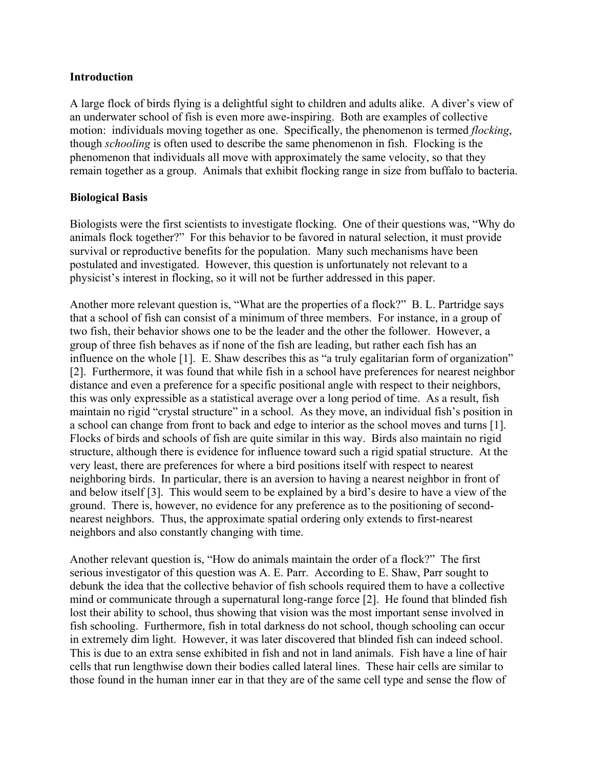# **Introduction**

A large flock of birds flying is a delightful sight to children and adults alike. A diver's view of an underwater school of fish is even more awe-inspiring. Both are examples of collective motion: individuals moving together as one. Specifically, the phenomenon is termed *flocking*, though *schooling* is often used to describe the same phenomenon in fish. Flocking is the phenomenon that individuals all move with approximately the same velocity, so that they remain together as a group. Animals that exhibit flocking range in size from buffalo to bacteria.

# **Biological Basis**

Biologists were the first scientists to investigate flocking. One of their questions was, "Why do animals flock together?" For this behavior to be favored in natural selection, it must provide survival or reproductive benefits for the population. Many such mechanisms have been postulated and investigated. However, this question is unfortunately not relevant to a physicist's interest in flocking, so it will not be further addressed in this paper.

Another more relevant question is, "What are the properties of a flock?" B. L. Partridge says that a school of fish can consist of a minimum of three members. For instance, in a group of two fish, their behavior shows one to be the leader and the other the follower. However, a group of three fish behaves as if none of the fish are leading, but rather each fish has an influence on the whole [1]. E. Shaw describes this as "a truly egalitarian form of organization" [2]. Furthermore, it was found that while fish in a school have preferences for nearest neighbor distance and even a preference for a specific positional angle with respect to their neighbors, this was only expressible as a statistical average over a long period of time. As a result, fish maintain no rigid "crystal structure" in a school. As they move, an individual fish's position in a school can change from front to back and edge to interior as the school moves and turns [1]. Flocks of birds and schools of fish are quite similar in this way. Birds also maintain no rigid structure, although there is evidence for influence toward such a rigid spatial structure. At the very least, there are preferences for where a bird positions itself with respect to nearest neighboring birds. In particular, there is an aversion to having a nearest neighbor in front of and below itself [3]. This would seem to be explained by a bird's desire to have a view of the ground. There is, however, no evidence for any preference as to the positioning of secondnearest neighbors. Thus, the approximate spatial ordering only extends to first-nearest neighbors and also constantly changing with time.

Another relevant question is, "How do animals maintain the order of a flock?" The first serious investigator of this question was A. E. Parr. According to E. Shaw, Parr sought to debunk the idea that the collective behavior of fish schools required them to have a collective mind or communicate through a supernatural long-range force [2]. He found that blinded fish lost their ability to school, thus showing that vision was the most important sense involved in fish schooling. Furthermore, fish in total darkness do not school, though schooling can occur in extremely dim light. However, it was later discovered that blinded fish can indeed school. This is due to an extra sense exhibited in fish and not in land animals. Fish have a line of hair cells that run lengthwise down their bodies called lateral lines. These hair cells are similar to those found in the human inner ear in that they are of the same cell type and sense the flow of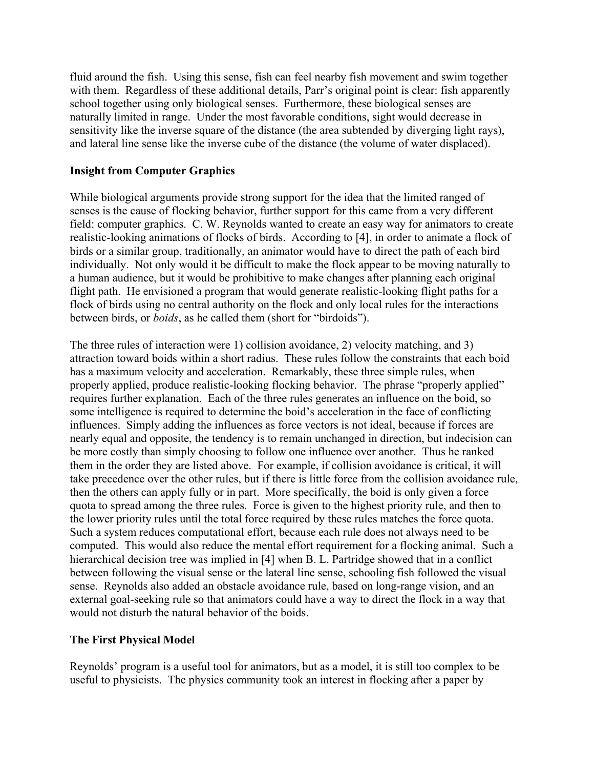fluid around the fish. Using this sense, fish can feel nearby fish movement and swim together with them. Regardless of these additional details, Parr's original point is clear: fish apparently school together using only biological senses. Furthermore, these biological senses are naturally limited in range. Under the most favorable conditions, sight would decrease in sensitivity like the inverse square of the distance (the area subtended by diverging light rays), and lateral line sense like the inverse cube of the distance (the volume of water displaced).

# **Insight from Computer Graphics**

While biological arguments provide strong support for the idea that the limited ranged of senses is the cause of flocking behavior, further support for this came from a very different field: computer graphics. C. W. Reynolds wanted to create an easy way for animators to create realistic-looking animations of flocks of birds. According to [4], in order to animate a flock of birds or a similar group, traditionally, an animator would have to direct the path of each bird individually. Not only would it be difficult to make the flock appear to be moving naturally to a human audience, but it would be prohibitive to make changes after planning each original flight path. He envisioned a program that would generate realistic-looking flight paths for a flock of birds using no central authority on the flock and only local rules for the interactions between birds, or *boids*, as he called them (short for "birdoids").

The three rules of interaction were 1) collision avoidance, 2) velocity matching, and 3) attraction toward boids within a short radius. These rules follow the constraints that each boid has a maximum velocity and acceleration. Remarkably, these three simple rules, when properly applied, produce realistic-looking flocking behavior. The phrase "properly applied" requires further explanation. Each of the three rules generates an influence on the boid, so some intelligence is required to determine the boid's acceleration in the face of conflicting influences. Simply adding the influences as force vectors is not ideal, because if forces are nearly equal and opposite, the tendency is to remain unchanged in direction, but indecision can be more costly than simply choosing to follow one influence over another. Thus he ranked them in the order they are listed above. For example, if collision avoidance is critical, it will take precedence over the other rules, but if there is little force from the collision avoidance rule, then the others can apply fully or in part. More specifically, the boid is only given a force quota to spread among the three rules. Force is given to the highest priority rule, and then to the lower priority rules until the total force required by these rules matches the force quota. Such a system reduces computational effort, because each rule does not always need to be computed. This would also reduce the mental effort requirement for a flocking animal. Such a hierarchical decision tree was implied in [4] when B. L. Partridge showed that in a conflict between following the visual sense or the lateral line sense, schooling fish followed the visual sense. Reynolds also added an obstacle avoidance rule, based on long-range vision, and an external goal-seeking rule so that animators could have a way to direct the flock in a way that would not disturb the natural behavior of the boids.

# **The First Physical Model**

Reynolds' program is a useful tool for animators, but as a model, it is still too complex to be useful to physicists. The physics community took an interest in flocking after a paper by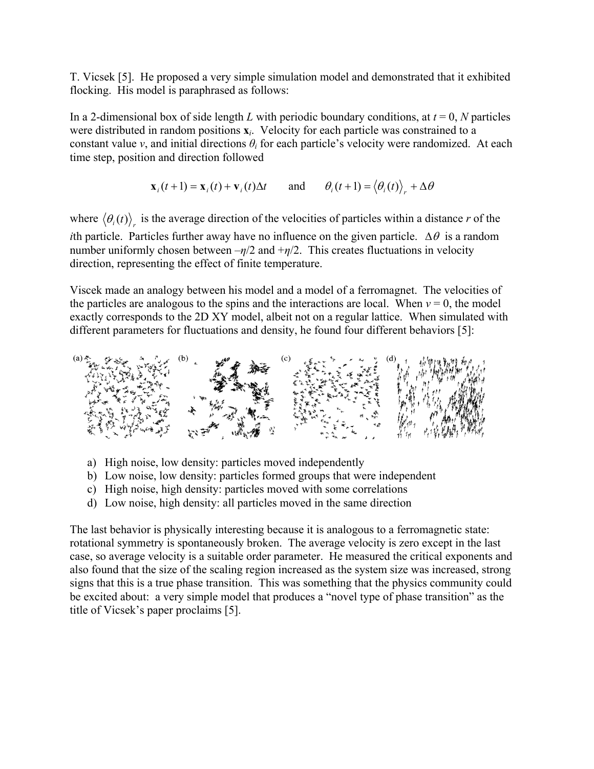T. Vicsek [5]. He proposed a very simple simulation model and demonstrated that it exhibited flocking. His model is paraphrased as follows:

In a 2-dimensional box of side length *L* with periodic boundary conditions, at  $t = 0$ , *N* particles were distributed in random positions **x***i*. Velocity for each particle was constrained to a constant value *v*, and initial directions  $\theta_i$  for each particle's velocity were randomized. At each time step, position and direction followed

$$
\mathbf{x}_i(t+1) = \mathbf{x}_i(t) + \mathbf{v}_i(t)\Delta t
$$
 and  $\theta_i(t+1) = \langle \theta_i(t) \rangle_r + \Delta \theta$ 

where  $\langle \theta_i(t) \rangle$  is the average direction of the velocities of particles within a distance *r* of the *i*th particle. Particles further away have no influence on the given particle.  $\Delta\theta$  is a random number uniformly chosen between  $-\eta/2$  and  $+\eta/2$ . This creates fluctuations in velocity direction, representing the effect of finite temperature.

Viscek made an analogy between his model and a model of a ferromagnet. The velocities of the particles are analogous to the spins and the interactions are local. When  $v = 0$ , the model exactly corresponds to the 2D XY model, albeit not on a regular lattice. When simulated with different parameters for fluctuations and density, he found four different behaviors [5]:



- a) High noise, low density: particles moved independently
- b) Low noise, low density: particles formed groups that were independent
- c) High noise, high density: particles moved with some correlations
- d) Low noise, high density: all particles moved in the same direction

The last behavior is physically interesting because it is analogous to a ferromagnetic state: rotational symmetry is spontaneously broken. The average velocity is zero except in the last case, so average velocity is a suitable order parameter. He measured the critical exponents and also found that the size of the scaling region increased as the system size was increased, strong signs that this is a true phase transition. This was something that the physics community could be excited about: a very simple model that produces a "novel type of phase transition" as the title of Vicsek's paper proclaims [5].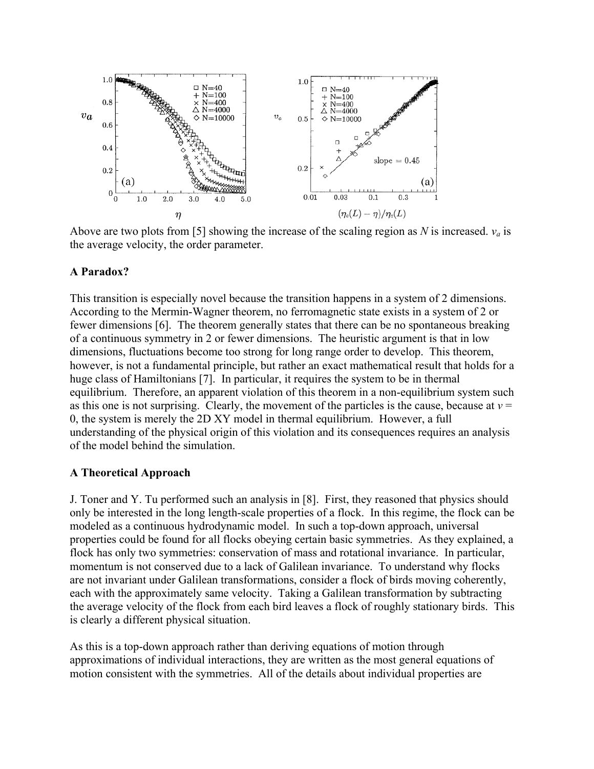

Above are two plots from [5] showing the increase of the scaling region as *N* is increased.  $v_a$  is the average velocity, the order parameter.

## **A Paradox?**

This transition is especially novel because the transition happens in a system of 2 dimensions. According to the Mermin-Wagner theorem, no ferromagnetic state exists in a system of 2 or fewer dimensions [6]. The theorem generally states that there can be no spontaneous breaking of a continuous symmetry in 2 or fewer dimensions. The heuristic argument is that in low dimensions, fluctuations become too strong for long range order to develop. This theorem, however, is not a fundamental principle, but rather an exact mathematical result that holds for a huge class of Hamiltonians [7]. In particular, it requires the system to be in thermal equilibrium. Therefore, an apparent violation of this theorem in a non-equilibrium system such as this one is not surprising. Clearly, the movement of the particles is the cause, because at  $v =$ 0, the system is merely the 2D XY model in thermal equilibrium. However, a full understanding of the physical origin of this violation and its consequences requires an analysis of the model behind the simulation.

#### **A Theoretical Approach**

J. Toner and Y. Tu performed such an analysis in [8]. First, they reasoned that physics should only be interested in the long length-scale properties of a flock. In this regime, the flock can be modeled as a continuous hydrodynamic model. In such a top-down approach, universal properties could be found for all flocks obeying certain basic symmetries. As they explained, a flock has only two symmetries: conservation of mass and rotational invariance. In particular, momentum is not conserved due to a lack of Galilean invariance. To understand why flocks are not invariant under Galilean transformations, consider a flock of birds moving coherently, each with the approximately same velocity. Taking a Galilean transformation by subtracting the average velocity of the flock from each bird leaves a flock of roughly stationary birds. This is clearly a different physical situation.

As this is a top-down approach rather than deriving equations of motion through approximations of individual interactions, they are written as the most general equations of motion consistent with the symmetries. All of the details about individual properties are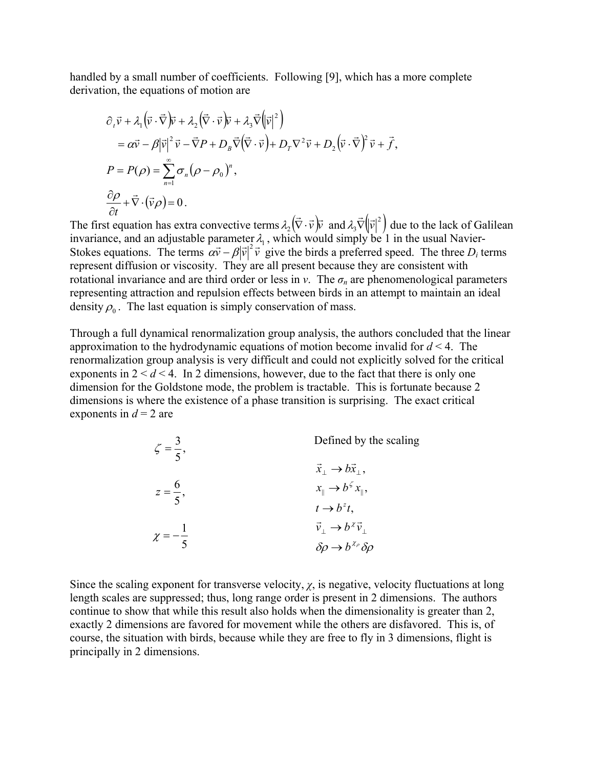handled by a small number of coefficients. Following [9], which has a more complete derivation, the equations of motion are

$$
\partial_r \vec{v} + \lambda_1 (\vec{v} \cdot \vec{\nabla}) \vec{v} + \lambda_2 (\vec{\nabla} \cdot \vec{v}) \vec{v} + \lambda_3 \vec{\nabla} (|\vec{v}|^2)
$$
  
\n
$$
= \alpha \vec{v} - \beta |\vec{v}|^2 \vec{v} - \vec{\nabla} P + D_B \vec{\nabla} (\vec{\nabla} \cdot \vec{v}) + D_T \nabla^2 \vec{v} + D_2 (\vec{v} \cdot \vec{\nabla})^2 \vec{v} + \vec{f},
$$
  
\n
$$
P = P(\rho) = \sum_{n=1}^{\infty} \sigma_n (\rho - \rho_0)^n,
$$
  
\n
$$
\frac{\partial \rho}{\partial t} + \vec{\nabla} \cdot (\vec{v} \rho) = 0.
$$

The first equation has extra convective terms  $\lambda_2(\vec{\nabla} \cdot \vec{v})\vec{v}$  and  $\lambda_3 \vec{\nabla}(|\vec{v}|^2)$  due to the lack of Galilean invariance, and an adjustable parameter  $\lambda_1$ , which would simply be 1 in the usual Navier-Stokes equations. The terms  $\alpha \vec{v} - \beta |\vec{v}|^2 \vec{v}$  give the birds a preferred speed. The three  $D_i$  terms represent diffusion or viscosity. They are all present because they are consistent with rotational invariance and are third order or less in *v*. The  $\sigma_n$  are phenomenological parameters representing attraction and repulsion effects between birds in an attempt to maintain an ideal density  $\rho_0$ . The last equation is simply conservation of mass.

Through a full dynamical renormalization group analysis, the authors concluded that the linear approximation to the hydrodynamic equations of motion become invalid for *d* < 4. The renormalization group analysis is very difficult and could not explicitly solved for the critical exponents in  $2 < d < 4$ . In 2 dimensions, however, due to the fact that there is only one dimension for the Goldstone mode, the problem is tractable. This is fortunate because 2 dimensions is where the existence of a phase transition is surprising. The exact critical exponents in  $d = 2$  are

| $\zeta = \frac{3}{5},$ | Defined by the scaling                                |
|------------------------|-------------------------------------------------------|
|                        | $\vec{x}_\perp \rightarrow b\vec{x}_\perp$ ,          |
| $z = \frac{6}{5},$     | $x_{\parallel} \rightarrow b^{\zeta} x_{\parallel}$ , |
|                        | $t \rightarrow b^z t$ ,                               |
| $\chi=-\frac{1}{5}$    | $\vec{v}_\perp \rightarrow b^{\chi} \vec{v}_\perp$    |
|                        | $\delta \rho \rightarrow b^{\chi_{\rho}} \delta \rho$ |

Since the scaling exponent for transverse velocity,  $\chi$ , is negative, velocity fluctuations at long length scales are suppressed; thus, long range order is present in 2 dimensions. The authors continue to show that while this result also holds when the dimensionality is greater than 2, exactly 2 dimensions are favored for movement while the others are disfavored. This is, of course, the situation with birds, because while they are free to fly in 3 dimensions, flight is principally in 2 dimensions.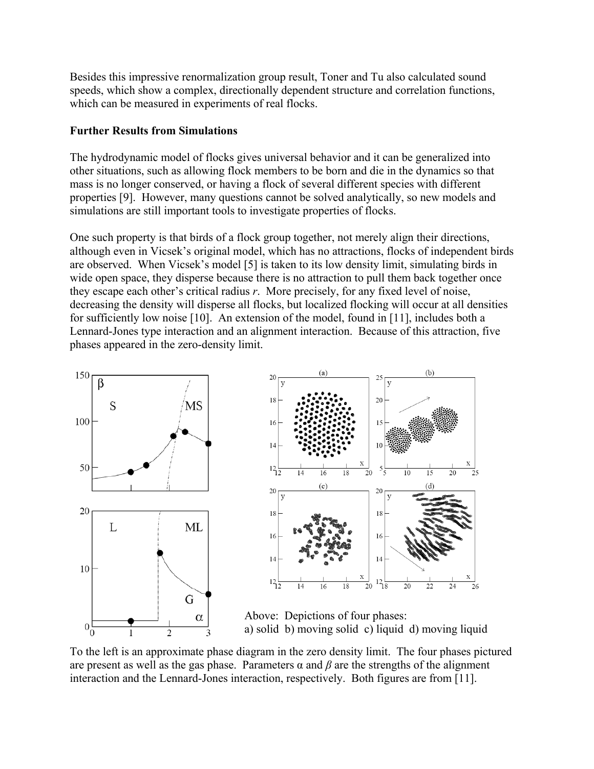Besides this impressive renormalization group result, Toner and Tu also calculated sound speeds, which show a complex, directionally dependent structure and correlation functions, which can be measured in experiments of real flocks.

# **Further Results from Simulations**

The hydrodynamic model of flocks gives universal behavior and it can be generalized into other situations, such as allowing flock members to be born and die in the dynamics so that mass is no longer conserved, or having a flock of several different species with different properties [9]. However, many questions cannot be solved analytically, so new models and simulations are still important tools to investigate properties of flocks.

One such property is that birds of a flock group together, not merely align their directions, although even in Vicsek's original model, which has no attractions, flocks of independent birds are observed. When Vicsek's model [5] is taken to its low density limit, simulating birds in wide open space, they disperse because there is no attraction to pull them back together once they escape each other's critical radius *r*. More precisely, for any fixed level of noise, decreasing the density will disperse all flocks, but localized flocking will occur at all densities for sufficiently low noise [10]. An extension of the model, found in [11], includes both a Lennard-Jones type interaction and an alignment interaction. Because of this attraction, five phases appeared in the zero-density limit.





Above: Depictions of four phases: a) solid b) moving solid c) liquid d) moving liquid

To the left is an approximate phase diagram in the zero density limit. The four phases pictured are present as well as the gas phase. Parameters  $\alpha$  and  $\beta$  are the strengths of the alignment interaction and the Lennard-Jones interaction, respectively. Both figures are from [11].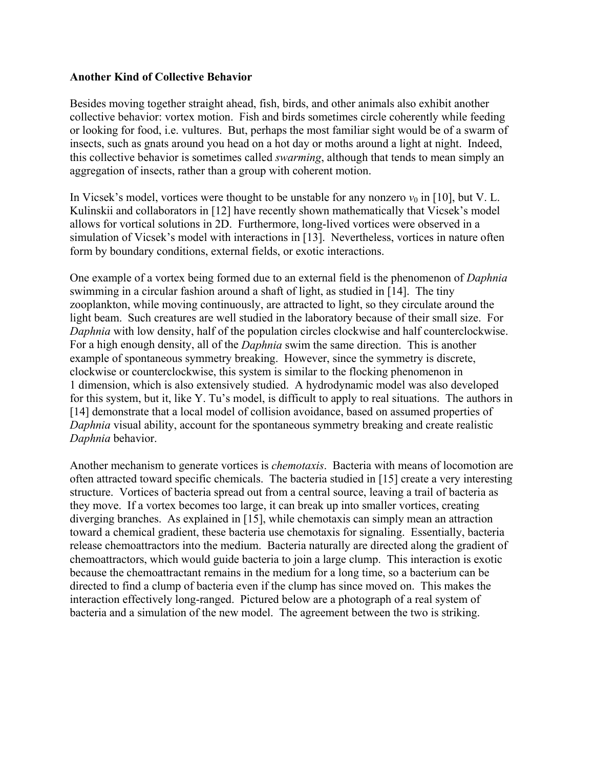## **Another Kind of Collective Behavior**

Besides moving together straight ahead, fish, birds, and other animals also exhibit another collective behavior: vortex motion. Fish and birds sometimes circle coherently while feeding or looking for food, i.e. vultures. But, perhaps the most familiar sight would be of a swarm of insects, such as gnats around you head on a hot day or moths around a light at night. Indeed, this collective behavior is sometimes called *swarming*, although that tends to mean simply an aggregation of insects, rather than a group with coherent motion.

In Vicsek's model, vortices were thought to be unstable for any nonzero  $v_0$  in [10], but V. L. Kulinskii and collaborators in [12] have recently shown mathematically that Vicsek's model allows for vortical solutions in 2D. Furthermore, long-lived vortices were observed in a simulation of Vicsek's model with interactions in [13]. Nevertheless, vortices in nature often form by boundary conditions, external fields, or exotic interactions.

One example of a vortex being formed due to an external field is the phenomenon of *Daphnia* swimming in a circular fashion around a shaft of light, as studied in [14]. The tiny zooplankton, while moving continuously, are attracted to light, so they circulate around the light beam. Such creatures are well studied in the laboratory because of their small size. For *Daphnia* with low density, half of the population circles clockwise and half counterclockwise. For a high enough density, all of the *Daphnia* swim the same direction. This is another example of spontaneous symmetry breaking. However, since the symmetry is discrete, clockwise or counterclockwise, this system is similar to the flocking phenomenon in 1 dimension, which is also extensively studied. A hydrodynamic model was also developed for this system, but it, like Y. Tu's model, is difficult to apply to real situations. The authors in [14] demonstrate that a local model of collision avoidance, based on assumed properties of *Daphnia* visual ability, account for the spontaneous symmetry breaking and create realistic *Daphnia* behavior.

Another mechanism to generate vortices is *chemotaxis*. Bacteria with means of locomotion are often attracted toward specific chemicals. The bacteria studied in [15] create a very interesting structure. Vortices of bacteria spread out from a central source, leaving a trail of bacteria as they move. If a vortex becomes too large, it can break up into smaller vortices, creating diverging branches. As explained in [15], while chemotaxis can simply mean an attraction toward a chemical gradient, these bacteria use chemotaxis for signaling. Essentially, bacteria release chemoattractors into the medium. Bacteria naturally are directed along the gradient of chemoattractors, which would guide bacteria to join a large clump. This interaction is exotic because the chemoattractant remains in the medium for a long time, so a bacterium can be directed to find a clump of bacteria even if the clump has since moved on. This makes the interaction effectively long-ranged. Pictured below are a photograph of a real system of bacteria and a simulation of the new model. The agreement between the two is striking.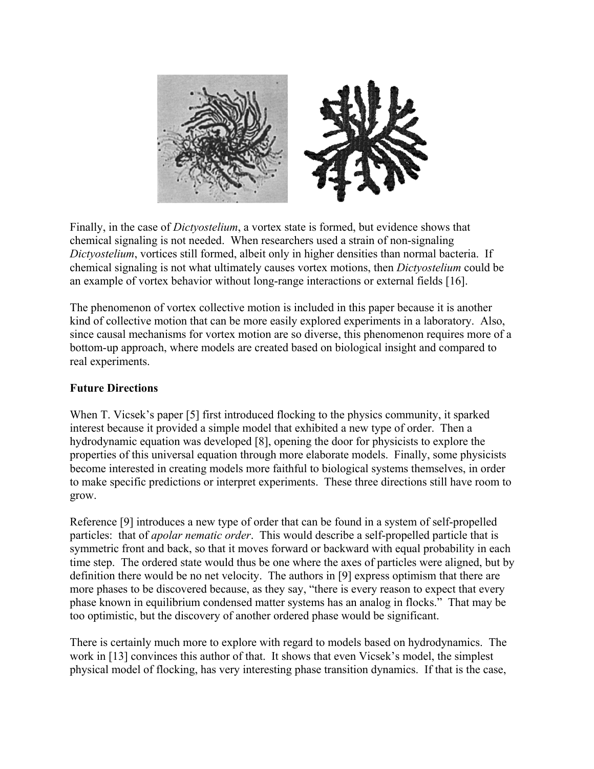

Finally, in the case of *Dictyostelium*, a vortex state is formed, but evidence shows that chemical signaling is not needed. When researchers used a strain of non-signaling *Dictyostelium*, vortices still formed, albeit only in higher densities than normal bacteria. If chemical signaling is not what ultimately causes vortex motions, then *Dictyostelium* could be an example of vortex behavior without long-range interactions or external fields [16].

The phenomenon of vortex collective motion is included in this paper because it is another kind of collective motion that can be more easily explored experiments in a laboratory. Also, since causal mechanisms for vortex motion are so diverse, this phenomenon requires more of a bottom-up approach, where models are created based on biological insight and compared to real experiments.

# **Future Directions**

When T. Vicsek's paper [5] first introduced flocking to the physics community, it sparked interest because it provided a simple model that exhibited a new type of order. Then a hydrodynamic equation was developed [8], opening the door for physicists to explore the properties of this universal equation through more elaborate models. Finally, some physicists become interested in creating models more faithful to biological systems themselves, in order to make specific predictions or interpret experiments. These three directions still have room to grow.

Reference [9] introduces a new type of order that can be found in a system of self-propelled particles: that of *apolar nematic order*. This would describe a self-propelled particle that is symmetric front and back, so that it moves forward or backward with equal probability in each time step. The ordered state would thus be one where the axes of particles were aligned, but by definition there would be no net velocity. The authors in [9] express optimism that there are more phases to be discovered because, as they say, "there is every reason to expect that every phase known in equilibrium condensed matter systems has an analog in flocks." That may be too optimistic, but the discovery of another ordered phase would be significant.

There is certainly much more to explore with regard to models based on hydrodynamics. The work in [13] convinces this author of that. It shows that even Vicsek's model, the simplest physical model of flocking, has very interesting phase transition dynamics. If that is the case,